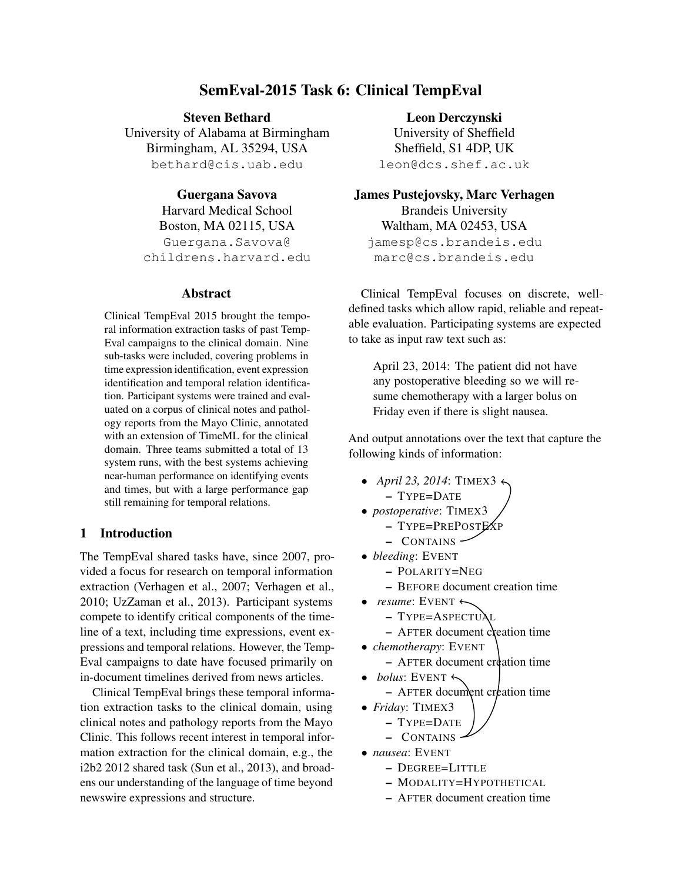# SemEval-2015 Task 6: Clinical TempEval

Steven Bethard University of Alabama at Birmingham Birmingham, AL 35294, USA bethard@cis.uab.edu

Guergana Savova Harvard Medical School Boston, MA 02115, USA Guergana.Savova@ childrens.harvard.edu

### Abstract

Clinical TempEval 2015 brought the temporal information extraction tasks of past Temp-Eval campaigns to the clinical domain. Nine sub-tasks were included, covering problems in time expression identification, event expression identification and temporal relation identification. Participant systems were trained and evaluated on a corpus of clinical notes and pathology reports from the Mayo Clinic, annotated with an extension of TimeML for the clinical domain. Three teams submitted a total of 13 system runs, with the best systems achieving near-human performance on identifying events and times, but with a large performance gap still remaining for temporal relations.

### 1 Introduction

The TempEval shared tasks have, since 2007, provided a focus for research on temporal information extraction (Verhagen et al., 2007; Verhagen et al., 2010; UzZaman et al., 2013). Participant systems compete to identify critical components of the timeline of a text, including time expressions, event expressions and temporal relations. However, the Temp-Eval campaigns to date have focused primarily on in-document timelines derived from news articles.

Clinical TempEval brings these temporal information extraction tasks to the clinical domain, using clinical notes and pathology reports from the Mayo Clinic. This follows recent interest in temporal information extraction for the clinical domain, e.g., the i2b2 2012 shared task (Sun et al., 2013), and broadens our understanding of the language of time beyond newswire expressions and structure.

Leon Derczynski

University of Sheffield Sheffield, S1 4DP, UK leon@dcs.shef.ac.uk

James Pustejovsky, Marc Verhagen

Brandeis University Waltham, MA 02453, USA jamesp@cs.brandeis.edu marc@cs.brandeis.edu

Clinical TempEval focuses on discrete, welldefined tasks which allow rapid, reliable and repeatable evaluation. Participating systems are expected to take as input raw text such as:

April 23, 2014: The patient did not have any postoperative bleeding so we will resume chemotherapy with a larger bolus on Friday even if there is slight nausea.

And output annotations over the text that capture the following kinds of information:

- *April 23, 2014*: TIMEX3
	- TYPE=DATE
- *postoperative*: TIMEX3
	- TYPE=PREPOSTEXP
	- CONTAINS
- *bleeding*: EVENT
	- POLARITY=NEG
	- BEFORE document creation time
- *resume*: EVENT  $\leftarrow$ 
	- TYPE=ASPECTUAL
	- $-$  AFTER document creation time
- *chemotherapy*: EVENT
	- $-$  AFTER document creation time
- $\bullet$  *bolus*: EVENT  $\leftarrow$ 
	- AFTER document creation time
- *Friday*: TIMEX3

$$
- \, \text{Type}= \, \text{DATE}
$$

- CONTAINS
- *nausea*: EVENT
	- DEGREE=LITTLE
	- MODALITY=HYPOTHETICAL
	- AFTER document creation time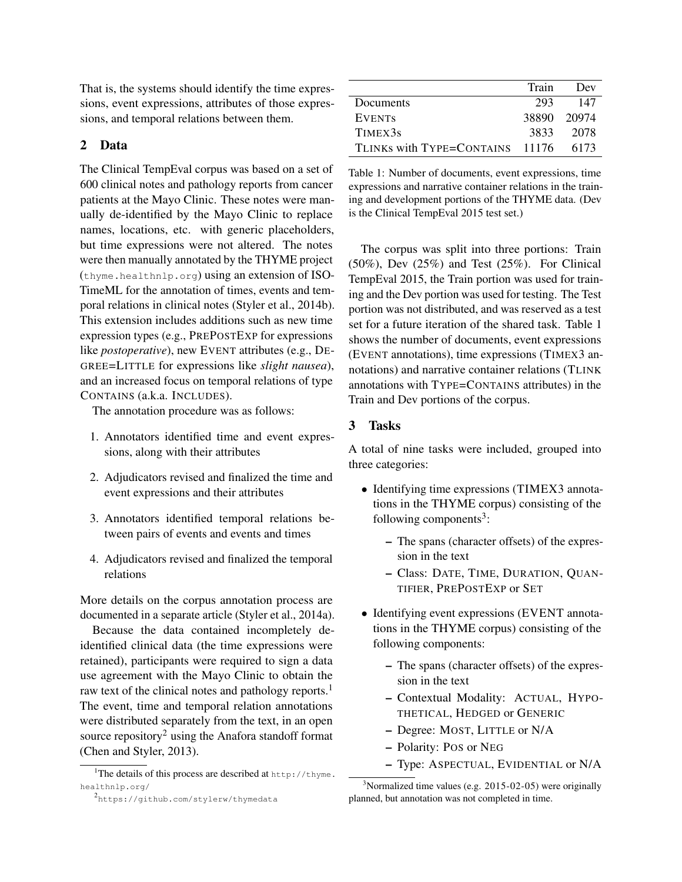That is, the systems should identify the time expressions, event expressions, attributes of those expressions, and temporal relations between them.

# 2 Data

The Clinical TempEval corpus was based on a set of 600 clinical notes and pathology reports from cancer patients at the Mayo Clinic. These notes were manually de-identified by the Mayo Clinic to replace names, locations, etc. with generic placeholders, but time expressions were not altered. The notes were then manually annotated by the THYME project (thyme.healthnlp.org) using an extension of ISO-TimeML for the annotation of times, events and temporal relations in clinical notes (Styler et al., 2014b). This extension includes additions such as new time expression types (e.g., PREPOSTEXP for expressions like *postoperative*), new EVENT attributes (e.g., DE-GREE=LITTLE for expressions like *slight nausea*), and an increased focus on temporal relations of type CONTAINS (a.k.a. INCLUDES).

The annotation procedure was as follows:

- 1. Annotators identified time and event expressions, along with their attributes
- 2. Adjudicators revised and finalized the time and event expressions and their attributes
- 3. Annotators identified temporal relations between pairs of events and events and times
- 4. Adjudicators revised and finalized the temporal relations

More details on the corpus annotation process are documented in a separate article (Styler et al., 2014a).

Because the data contained incompletely deidentified clinical data (the time expressions were retained), participants were required to sign a data use agreement with the Mayo Clinic to obtain the raw text of the clinical notes and pathology reports.<sup>1</sup> The event, time and temporal relation annotations were distributed separately from the text, in an open source repository<sup>2</sup> using the Anafora standoff format (Chen and Styler, 2013).

|                                 | Train       | Dev  |
|---------------------------------|-------------|------|
| Documents                       | 293         | 147  |
| <b>EVENTS</b>                   | 38890 20974 |      |
| TIMEX3s                         | 3833        | 2078 |
| TLINKS with TYPE=CONTAINS 11176 |             | 6173 |

Table 1: Number of documents, event expressions, time expressions and narrative container relations in the training and development portions of the THYME data. (Dev is the Clinical TempEval 2015 test set.)

The corpus was split into three portions: Train (50%), Dev (25%) and Test (25%). For Clinical TempEval 2015, the Train portion was used for training and the Dev portion was used for testing. The Test portion was not distributed, and was reserved as a test set for a future iteration of the shared task. Table 1 shows the number of documents, event expressions (EVENT annotations), time expressions (TIMEX3 annotations) and narrative container relations (TLINK annotations with TYPE=CONTAINS attributes) in the Train and Dev portions of the corpus.

### 3 Tasks

A total of nine tasks were included, grouped into three categories:

- Identifying time expressions (TIMEX3 annotations in the THYME corpus) consisting of the following components<sup>3</sup>:
	- The spans (character offsets) of the expression in the text
	- Class: DATE, TIME, DURATION, QUAN-TIFIER, PREPOSTEXP or SET
- Identifying event expressions (EVENT annotations in the THYME corpus) consisting of the following components:
	- The spans (character offsets) of the expression in the text
	- Contextual Modality: ACTUAL, HYPO-THETICAL, HEDGED or GENERIC
	- Degree: MOST, LITTLE or N/A
	- Polarity: POS or NEG
	- Type: ASPECTUAL, EVIDENTIAL or N/A

<sup>&</sup>lt;sup>1</sup>The details of this process are described at  $http://thyme.$ healthnlp.org/

<sup>2</sup> https://github.com/stylerw/thymedata

 $3$ Normalized time values (e.g. 2015-02-05) were originally planned, but annotation was not completed in time.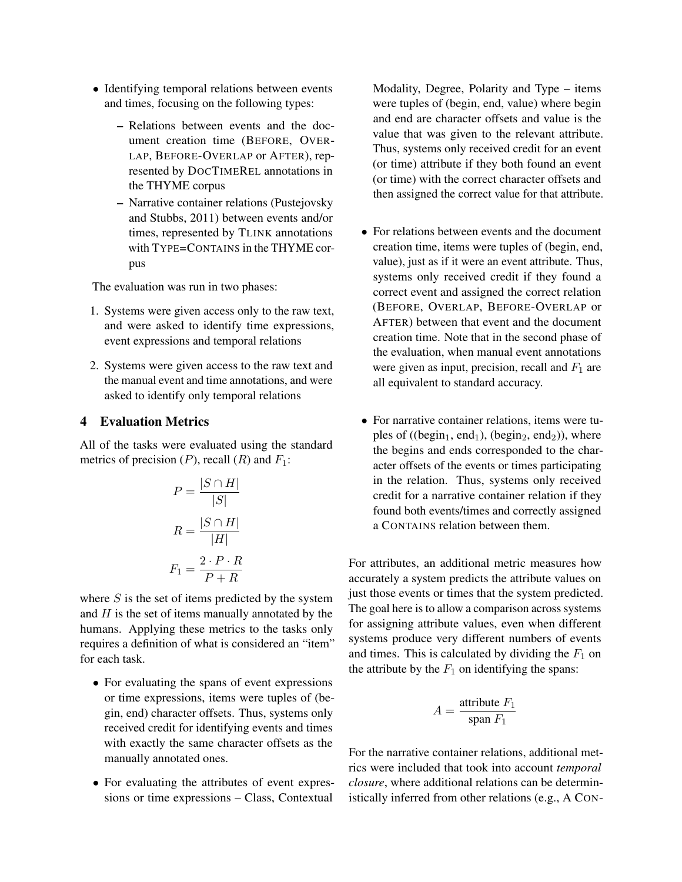- Identifying temporal relations between events and times, focusing on the following types:
	- Relations between events and the document creation time (BEFORE, OVER-LAP, BEFORE-OVERLAP or AFTER), represented by DOCTIMEREL annotations in the THYME corpus
	- Narrative container relations (Pustejovsky and Stubbs, 2011) between events and/or times, represented by TLINK annotations with TYPE=CONTAINS in the THYME corpus

The evaluation was run in two phases:

- 1. Systems were given access only to the raw text, and were asked to identify time expressions, event expressions and temporal relations
- 2. Systems were given access to the raw text and the manual event and time annotations, and were asked to identify only temporal relations

### 4 Evaluation Metrics

All of the tasks were evaluated using the standard metrics of precision  $(P)$ , recall  $(R)$  and  $F_1$ :

$$
P = \frac{|S \cap H|}{|S|}
$$

$$
R = \frac{|S \cap H|}{|H|}
$$

$$
F_1 = \frac{2 \cdot P \cdot R}{P + R}
$$

where  $S$  is the set of items predicted by the system and  $H$  is the set of items manually annotated by the humans. Applying these metrics to the tasks only requires a definition of what is considered an "item" for each task.

- For evaluating the spans of event expressions or time expressions, items were tuples of (begin, end) character offsets. Thus, systems only received credit for identifying events and times with exactly the same character offsets as the manually annotated ones.
- For evaluating the attributes of event expressions or time expressions – Class, Contextual

Modality, Degree, Polarity and Type – items were tuples of (begin, end, value) where begin and end are character offsets and value is the value that was given to the relevant attribute. Thus, systems only received credit for an event (or time) attribute if they both found an event (or time) with the correct character offsets and then assigned the correct value for that attribute.

- For relations between events and the document creation time, items were tuples of (begin, end, value), just as if it were an event attribute. Thus, systems only received credit if they found a correct event and assigned the correct relation (BEFORE, OVERLAP, BEFORE-OVERLAP or AFTER) between that event and the document creation time. Note that in the second phase of the evaluation, when manual event annotations were given as input, precision, recall and  $F_1$  are all equivalent to standard accuracy.
- For narrative container relations, items were tuples of ((begin<sub>1</sub>, end<sub>1</sub>), (begin<sub>2</sub>, end<sub>2</sub>)), where the begins and ends corresponded to the character offsets of the events or times participating in the relation. Thus, systems only received credit for a narrative container relation if they found both events/times and correctly assigned a CONTAINS relation between them.

For attributes, an additional metric measures how accurately a system predicts the attribute values on just those events or times that the system predicted. The goal here is to allow a comparison across systems for assigning attribute values, even when different systems produce very different numbers of events and times. This is calculated by dividing the  $F_1$  on the attribute by the  $F_1$  on identifying the spans:

$$
A = \frac{\text{attribute } F_1}{\text{span } F_1}
$$

For the narrative container relations, additional metrics were included that took into account *temporal closure*, where additional relations can be deterministically inferred from other relations (e.g., A CON-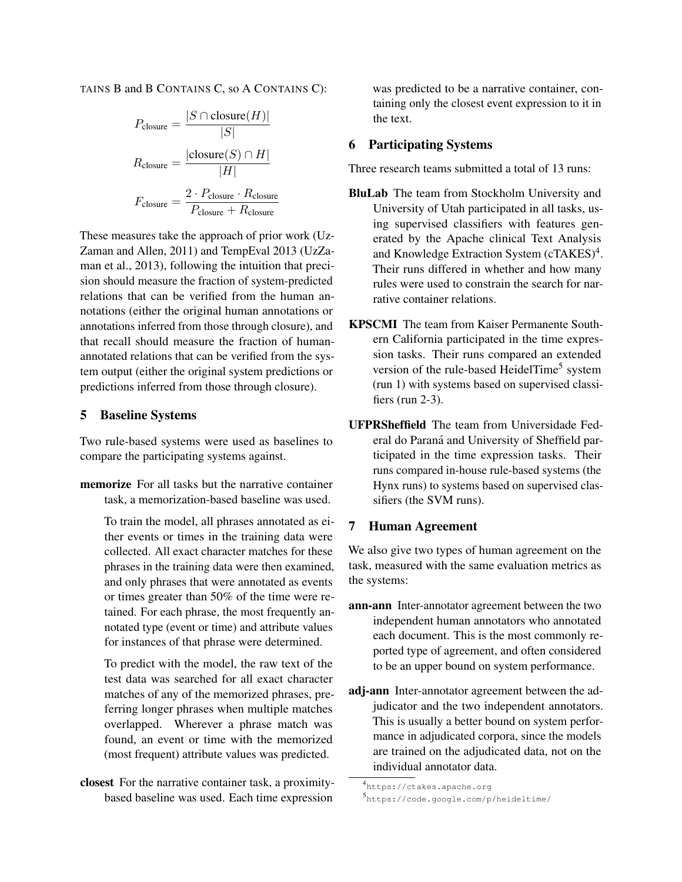TAINS B and B CONTAINS C, so A CONTAINS C):

$$
P_{\text{closure}} = \frac{|S \cap \text{closure}(H)|}{|S|}
$$

$$
R_{\text{closure}} = \frac{|\text{closure}(S) \cap H|}{|H|}
$$

$$
F_{\text{closure}} = \frac{2 \cdot P_{\text{closure}} \cdot R_{\text{closure}}}{P_{\text{closure}} + R_{\text{closure}}}
$$

These measures take the approach of prior work (Uz-Zaman and Allen, 2011) and TempEval 2013 (UzZaman et al., 2013), following the intuition that precision should measure the fraction of system-predicted relations that can be verified from the human annotations (either the original human annotations or annotations inferred from those through closure), and that recall should measure the fraction of humanannotated relations that can be verified from the system output (either the original system predictions or predictions inferred from those through closure).

# 5 Baseline Systems

Two rule-based systems were used as baselines to compare the participating systems against.

memorize For all tasks but the narrative container task, a memorization-based baseline was used.

To train the model, all phrases annotated as either events or times in the training data were collected. All exact character matches for these phrases in the training data were then examined, and only phrases that were annotated as events or times greater than 50% of the time were retained. For each phrase, the most frequently annotated type (event or time) and attribute values for instances of that phrase were determined.

To predict with the model, the raw text of the test data was searched for all exact character matches of any of the memorized phrases, preferring longer phrases when multiple matches overlapped. Wherever a phrase match was found, an event or time with the memorized (most frequent) attribute values was predicted.

closest For the narrative container task, a proximitybased baseline was used. Each time expression

was predicted to be a narrative container, containing only the closest event expression to it in the text.

### 6 Participating Systems

Three research teams submitted a total of 13 runs:

- BluLab The team from Stockholm University and University of Utah participated in all tasks, using supervised classifiers with features generated by the Apache clinical Text Analysis and Knowledge Extraction System (cTAKES)<sup>4</sup>. Their runs differed in whether and how many rules were used to constrain the search for narrative container relations.
- KPSCMI The team from Kaiser Permanente Southern California participated in the time expression tasks. Their runs compared an extended version of the rule-based HeidelTime<sup>5</sup> system (run 1) with systems based on supervised classifiers (run 2-3).
- UFPRSheffield The team from Universidade Federal do Paraná and University of Sheffield participated in the time expression tasks. Their runs compared in-house rule-based systems (the Hynx runs) to systems based on supervised classifiers (the SVM runs).

# 7 Human Agreement

We also give two types of human agreement on the task, measured with the same evaluation metrics as the systems:

- ann-ann Inter-annotator agreement between the two independent human annotators who annotated each document. This is the most commonly reported type of agreement, and often considered to be an upper bound on system performance.
- adj-ann Inter-annotator agreement between the adjudicator and the two independent annotators. This is usually a better bound on system performance in adjudicated corpora, since the models are trained on the adjudicated data, not on the individual annotator data.

<sup>4</sup> https://ctakes.apache.org

<sup>5</sup> https://code.google.com/p/heideltime/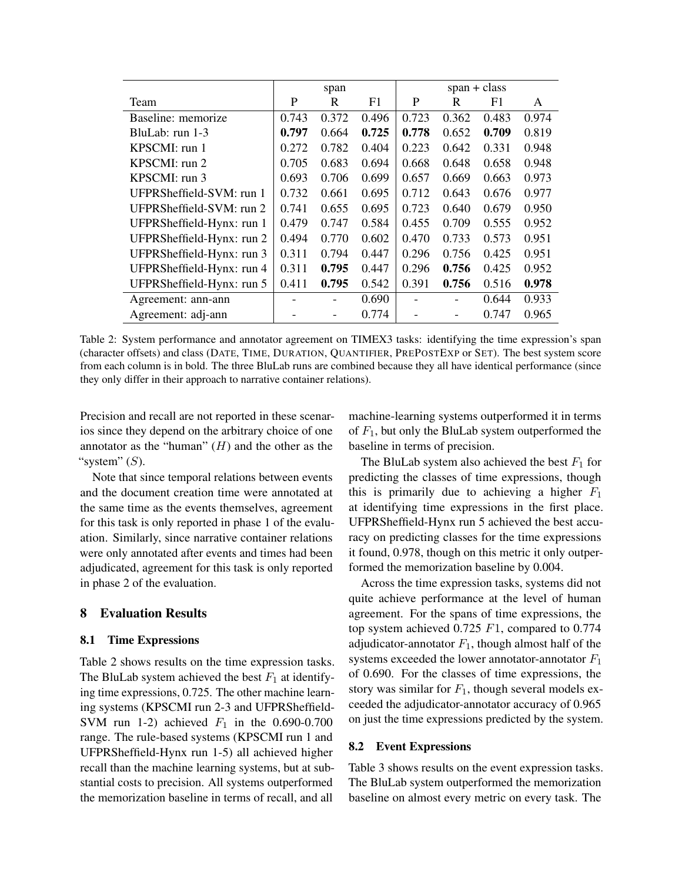|                           |       | span  |                | $span + class$ |       |       |       |  |
|---------------------------|-------|-------|----------------|----------------|-------|-------|-------|--|
| Team                      | P     | R     | F <sub>1</sub> | P              | R     | F1    | A     |  |
| Baseline: memorize        | 0.743 | 0.372 | 0.496          | 0.723          | 0.362 | 0.483 | 0.974 |  |
| BluLab: run 1-3           | 0.797 | 0.664 | 0.725          | 0.778          | 0.652 | 0.709 | 0.819 |  |
| KPSCMI: run 1             | 0.272 | 0.782 | 0.404          | 0.223          | 0.642 | 0.331 | 0.948 |  |
| KPSCMI: run 2             | 0.705 | 0.683 | 0.694          | 0.668          | 0.648 | 0.658 | 0.948 |  |
| KPSCMI: run 3             | 0.693 | 0.706 | 0.699          | 0.657          | 0.669 | 0.663 | 0.973 |  |
| UFPRSheffield-SVM: run 1  | 0.732 | 0.661 | 0.695          | 0.712          | 0.643 | 0.676 | 0.977 |  |
| UFPRSheffield-SVM: run 2  | 0.741 | 0.655 | 0.695          | 0.723          | 0.640 | 0.679 | 0.950 |  |
| UFPRSheffield-Hynx: run 1 | 0.479 | 0.747 | 0.584          | 0.455          | 0.709 | 0.555 | 0.952 |  |
| UFPRSheffield-Hynx: run 2 | 0.494 | 0.770 | 0.602          | 0.470          | 0.733 | 0.573 | 0.951 |  |
| UFPRSheffield-Hynx: run 3 | 0.311 | 0.794 | 0.447          | 0.296          | 0.756 | 0.425 | 0.951 |  |
| UFPRSheffield-Hynx: run 4 | 0.311 | 0.795 | 0.447          | 0.296          | 0.756 | 0.425 | 0.952 |  |
| UFPRSheffield-Hynx: run 5 | 0.411 | 0.795 | 0.542          | 0.391          | 0.756 | 0.516 | 0.978 |  |
| Agreement: ann-ann        |       |       | 0.690          |                |       | 0.644 | 0.933 |  |
| Agreement: adj-ann        |       |       | 0.774          |                |       | 0.747 | 0.965 |  |

Table 2: System performance and annotator agreement on TIMEX3 tasks: identifying the time expression's span (character offsets) and class (DATE, TIME, DURATION, QUANTIFIER, PREPOSTEXP or SET). The best system score from each column is in bold. The three BluLab runs are combined because they all have identical performance (since they only differ in their approach to narrative container relations).

Precision and recall are not reported in these scenarios since they depend on the arbitrary choice of one annotator as the "human"  $(H)$  and the other as the "system"  $(S)$ .

Note that since temporal relations between events and the document creation time were annotated at the same time as the events themselves, agreement for this task is only reported in phase 1 of the evaluation. Similarly, since narrative container relations were only annotated after events and times had been adjudicated, agreement for this task is only reported in phase 2 of the evaluation.

#### 8 Evaluation Results

#### 8.1 Time Expressions

Table 2 shows results on the time expression tasks. The BluLab system achieved the best  $F_1$  at identifying time expressions, 0.725. The other machine learning systems (KPSCMI run 2-3 and UFPRSheffield-SVM run 1-2) achieved  $F_1$  in the 0.690-0.700 range. The rule-based systems (KPSCMI run 1 and UFPRSheffield-Hynx run 1-5) all achieved higher recall than the machine learning systems, but at substantial costs to precision. All systems outperformed the memorization baseline in terms of recall, and all

machine-learning systems outperformed it in terms of  $F_1$ , but only the BluLab system outperformed the baseline in terms of precision.

The BluLab system also achieved the best  $F_1$  for predicting the classes of time expressions, though this is primarily due to achieving a higher  $F_1$ at identifying time expressions in the first place. UFPRSheffield-Hynx run 5 achieved the best accuracy on predicting classes for the time expressions it found, 0.978, though on this metric it only outperformed the memorization baseline by 0.004.

Across the time expression tasks, systems did not quite achieve performance at the level of human agreement. For the spans of time expressions, the top system achieved 0.725 F1, compared to 0.774 adjudicator-annotator  $F_1$ , though almost half of the systems exceeded the lower annotator-annotator  $F_1$ of 0.690. For the classes of time expressions, the story was similar for  $F_1$ , though several models exceeded the adjudicator-annotator accuracy of 0.965 on just the time expressions predicted by the system.

### 8.2 Event Expressions

Table 3 shows results on the event expression tasks. The BluLab system outperformed the memorization baseline on almost every metric on every task. The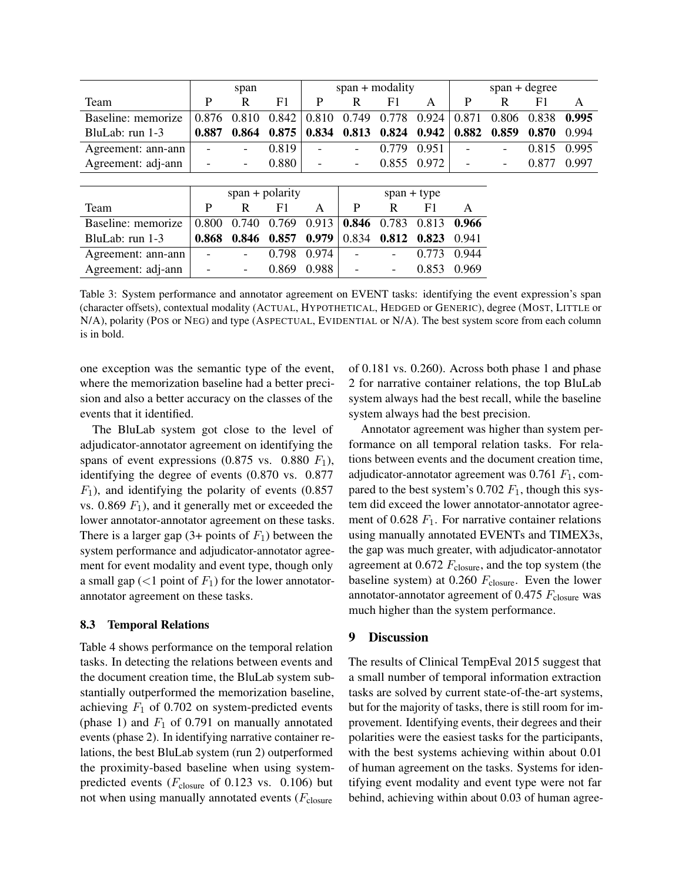|                    |                   | span  |       | $span + modality$ |                          |                          |             | $span + degree$          |       |       |       |
|--------------------|-------------------|-------|-------|-------------------|--------------------------|--------------------------|-------------|--------------------------|-------|-------|-------|
| Team               | P                 | R     | F1    | P                 | R                        | F1                       | A           | P                        | R     | F1    | A     |
| Baseline: memorize | 0.876             | 0.810 | 0.842 | 0.810             | 0.749                    | 0.778                    | 0.924       | 0.871                    | 0.806 | 0.838 | 0.995 |
| BluLab: run 1-3    | 0.887             | 0.864 | 0.875 | 0.834             | 0.813                    | 0.824                    | 0.942       | 0.882                    | 0.859 | 0.870 | 0.994 |
| Agreement: ann-ann |                   |       | 0.819 |                   |                          | 0.779                    | 0.951       |                          |       | 0.815 | 0.995 |
| Agreement: adj-ann |                   | ۰     | 0.880 | -                 | $\overline{\phantom{a}}$ |                          | 0.855 0.972 | $\overline{\phantom{a}}$ |       | 0.877 | 0.997 |
|                    |                   |       |       |                   |                          |                          |             |                          |       |       |       |
|                    | $span + polarity$ |       |       | $span + type$     |                          |                          |             |                          |       |       |       |
| Team               | P                 | R     | F1    | A                 | P                        | R                        | F1          | A                        |       |       |       |
| Baseline: memorize | 0.800             | 0.740 | 0.769 | 0.913             | 0.846                    | 0.783                    | 0.813       | 0.966                    |       |       |       |
| BluLab: run 1-3    | 0.868             | 0.846 | 0.857 | 0.979             | 0.834                    | 0.812                    | 0.823       | 0.941                    |       |       |       |
| Agreement: ann-ann |                   | Ξ.    | 0.798 | 0.974             |                          | $\overline{\phantom{a}}$ | 0.773       | 0.944                    |       |       |       |
| Agreement: adj-ann |                   |       | 0.869 | 0.988             |                          |                          | 0.853       | 0.969                    |       |       |       |

Table 3: System performance and annotator agreement on EVENT tasks: identifying the event expression's span (character offsets), contextual modality (ACTUAL, HYPOTHETICAL, HEDGED or GENERIC), degree (MOST, LITTLE or N/A), polarity (POS or NEG) and type (ASPECTUAL, EVIDENTIAL or N/A). The best system score from each column is in bold.

one exception was the semantic type of the event, where the memorization baseline had a better precision and also a better accuracy on the classes of the events that it identified.

The BluLab system got close to the level of adjudicator-annotator agreement on identifying the spans of event expressions (0.875 vs. 0.880  $F_1$ ), identifying the degree of events (0.870 vs. 0.877  $F_1$ ), and identifying the polarity of events (0.857) vs.  $0.869 F_1$ , and it generally met or exceeded the lower annotator-annotator agreement on these tasks. There is a larger gap  $(3+$  points of  $F_1$ ) between the system performance and adjudicator-annotator agreement for event modality and event type, though only a small gap  $(<1$  point of  $F_1$ ) for the lower annotatorannotator agreement on these tasks.

#### 8.3 Temporal Relations

Table 4 shows performance on the temporal relation tasks. In detecting the relations between events and the document creation time, the BluLab system substantially outperformed the memorization baseline, achieving  $F_1$  of 0.702 on system-predicted events (phase 1) and  $F_1$  of 0.791 on manually annotated events (phase 2). In identifying narrative container relations, the best BluLab system (run 2) outperformed the proximity-based baseline when using systempredicted events ( $F_{\text{closure}}$  of 0.123 vs. 0.106) but not when using manually annotated events  $(F_{closure}$ 

of 0.181 vs. 0.260). Across both phase 1 and phase 2 for narrative container relations, the top BluLab system always had the best recall, while the baseline system always had the best precision.

Annotator agreement was higher than system performance on all temporal relation tasks. For relations between events and the document creation time, adjudicator-annotator agreement was  $0.761 F<sub>1</sub>$ , compared to the best system's 0.702  $F_1$ , though this system did exceed the lower annotator-annotator agreement of 0.628  $F_1$ . For narrative container relations using manually annotated EVENTs and TIMEX3s, the gap was much greater, with adjudicator-annotator agreement at  $0.672 F_{\text{closure}}$ , and the top system (the baseline system) at 0.260  $F_{\text{closure}}$ . Even the lower annotator-annotator agreement of 0.475  $F_{\text{closure}}$  was much higher than the system performance.

# 9 Discussion

The results of Clinical TempEval 2015 suggest that a small number of temporal information extraction tasks are solved by current state-of-the-art systems, but for the majority of tasks, there is still room for improvement. Identifying events, their degrees and their polarities were the easiest tasks for the participants, with the best systems achieving within about 0.01 of human agreement on the tasks. Systems for identifying event modality and event type were not far behind, achieving within about 0.03 of human agree-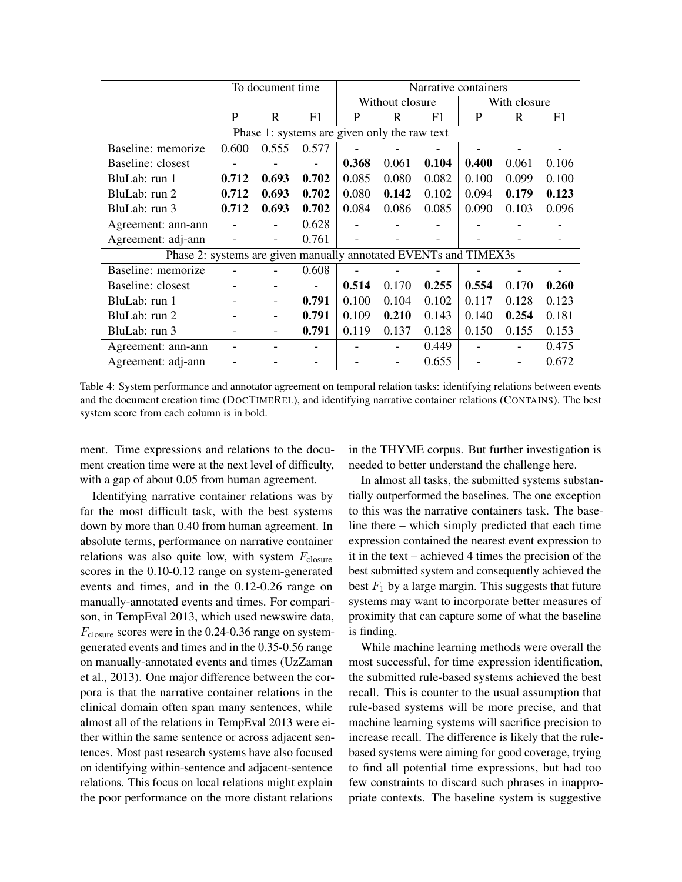|                                                                  |       | To document time         |       | Narrative containers |                 |       |              |       |       |  |
|------------------------------------------------------------------|-------|--------------------------|-------|----------------------|-----------------|-------|--------------|-------|-------|--|
|                                                                  |       |                          |       |                      | Without closure |       | With closure |       |       |  |
|                                                                  | P     | R                        | F1    | P                    | R               | F1    | P            | R     | F1    |  |
| Phase 1: systems are given only the raw text                     |       |                          |       |                      |                 |       |              |       |       |  |
| Baseline: memorize                                               | 0.600 | 0.555                    | 0.577 |                      |                 |       |              |       |       |  |
| Baseline: closest                                                |       |                          |       | 0.368                | 0.061           | 0.104 | 0.400        | 0.061 | 0.106 |  |
| BluLab: run 1                                                    | 0.712 | 0.693                    | 0.702 | 0.085                | 0.080           | 0.082 | 0.100        | 0.099 | 0.100 |  |
| BluLab: run 2                                                    | 0.712 | 0.693                    | 0.702 | 0.080                | 0.142           | 0.102 | 0.094        | 0.179 | 0.123 |  |
| BluLab: run 3                                                    | 0.712 | 0.693                    | 0.702 | 0.084                | 0.086           | 0.085 | 0.090        | 0.103 | 0.096 |  |
| Agreement: ann-ann                                               |       |                          | 0.628 |                      |                 |       |              |       |       |  |
| Agreement: adj-ann                                               |       | $\overline{\phantom{0}}$ | 0.761 |                      |                 |       |              |       |       |  |
| Phase 2: systems are given manually annotated EVENTs and TIMEX3s |       |                          |       |                      |                 |       |              |       |       |  |
| Baseline: memorize                                               |       |                          | 0.608 |                      |                 |       |              |       |       |  |
| Baseline: closest                                                |       |                          |       | 0.514                | 0.170           | 0.255 | 0.554        | 0.170 | 0.260 |  |
| BluLab: run 1                                                    |       |                          | 0.791 | 0.100                | 0.104           | 0.102 | 0.117        | 0.128 | 0.123 |  |
| BluLab: run 2                                                    |       |                          | 0.791 | 0.109                | 0.210           | 0.143 | 0.140        | 0.254 | 0.181 |  |
| BluLab: run 3                                                    |       |                          | 0.791 | 0.119                | 0.137           | 0.128 | 0.150        | 0.155 | 0.153 |  |
| Agreement: ann-ann                                               |       |                          |       |                      |                 | 0.449 |              |       | 0.475 |  |
| Agreement: adj-ann                                               |       |                          |       |                      |                 | 0.655 |              |       | 0.672 |  |

Table 4: System performance and annotator agreement on temporal relation tasks: identifying relations between events and the document creation time (DOCTIMEREL), and identifying narrative container relations (CONTAINS). The best system score from each column is in bold.

ment. Time expressions and relations to the document creation time were at the next level of difficulty, with a gap of about 0.05 from human agreement.

Identifying narrative container relations was by far the most difficult task, with the best systems down by more than 0.40 from human agreement. In absolute terms, performance on narrative container relations was also quite low, with system  $F_{\text{closure}}$ scores in the 0.10-0.12 range on system-generated events and times, and in the 0.12-0.26 range on manually-annotated events and times. For comparison, in TempEval 2013, which used newswire data,  $F_{\text{closure}}$  scores were in the 0.24-0.36 range on systemgenerated events and times and in the 0.35-0.56 range on manually-annotated events and times (UzZaman et al., 2013). One major difference between the corpora is that the narrative container relations in the clinical domain often span many sentences, while almost all of the relations in TempEval 2013 were either within the same sentence or across adjacent sentences. Most past research systems have also focused on identifying within-sentence and adjacent-sentence relations. This focus on local relations might explain the poor performance on the more distant relations

in the THYME corpus. But further investigation is needed to better understand the challenge here.

In almost all tasks, the submitted systems substantially outperformed the baselines. The one exception to this was the narrative containers task. The baseline there – which simply predicted that each time expression contained the nearest event expression to it in the text – achieved 4 times the precision of the best submitted system and consequently achieved the best  $F_1$  by a large margin. This suggests that future systems may want to incorporate better measures of proximity that can capture some of what the baseline is finding.

While machine learning methods were overall the most successful, for time expression identification, the submitted rule-based systems achieved the best recall. This is counter to the usual assumption that rule-based systems will be more precise, and that machine learning systems will sacrifice precision to increase recall. The difference is likely that the rulebased systems were aiming for good coverage, trying to find all potential time expressions, but had too few constraints to discard such phrases in inappropriate contexts. The baseline system is suggestive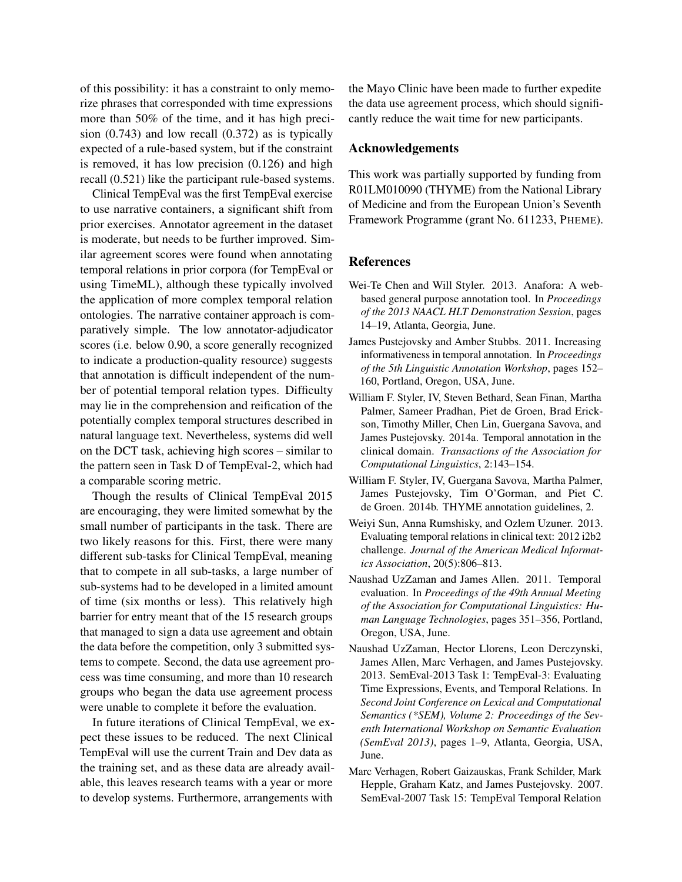of this possibility: it has a constraint to only memorize phrases that corresponded with time expressions more than 50% of the time, and it has high precision (0.743) and low recall (0.372) as is typically expected of a rule-based system, but if the constraint is removed, it has low precision (0.126) and high recall (0.521) like the participant rule-based systems.

Clinical TempEval was the first TempEval exercise to use narrative containers, a significant shift from prior exercises. Annotator agreement in the dataset is moderate, but needs to be further improved. Similar agreement scores were found when annotating temporal relations in prior corpora (for TempEval or using TimeML), although these typically involved the application of more complex temporal relation ontologies. The narrative container approach is comparatively simple. The low annotator-adjudicator scores (i.e. below 0.90, a score generally recognized to indicate a production-quality resource) suggests that annotation is difficult independent of the number of potential temporal relation types. Difficulty may lie in the comprehension and reification of the potentially complex temporal structures described in natural language text. Nevertheless, systems did well on the DCT task, achieving high scores – similar to the pattern seen in Task D of TempEval-2, which had a comparable scoring metric.

Though the results of Clinical TempEval 2015 are encouraging, they were limited somewhat by the small number of participants in the task. There are two likely reasons for this. First, there were many different sub-tasks for Clinical TempEval, meaning that to compete in all sub-tasks, a large number of sub-systems had to be developed in a limited amount of time (six months or less). This relatively high barrier for entry meant that of the 15 research groups that managed to sign a data use agreement and obtain the data before the competition, only 3 submitted systems to compete. Second, the data use agreement process was time consuming, and more than 10 research groups who began the data use agreement process were unable to complete it before the evaluation.

In future iterations of Clinical TempEval, we expect these issues to be reduced. The next Clinical TempEval will use the current Train and Dev data as the training set, and as these data are already available, this leaves research teams with a year or more to develop systems. Furthermore, arrangements with the Mayo Clinic have been made to further expedite the data use agreement process, which should significantly reduce the wait time for new participants.

#### Acknowledgements

This work was partially supported by funding from R01LM010090 (THYME) from the National Library of Medicine and from the European Union's Seventh Framework Programme (grant No. 611233, PHEME).

#### References

- Wei-Te Chen and Will Styler. 2013. Anafora: A webbased general purpose annotation tool. In *Proceedings of the 2013 NAACL HLT Demonstration Session*, pages 14–19, Atlanta, Georgia, June.
- James Pustejovsky and Amber Stubbs. 2011. Increasing informativeness in temporal annotation. In *Proceedings of the 5th Linguistic Annotation Workshop*, pages 152– 160, Portland, Oregon, USA, June.
- William F. Styler, IV, Steven Bethard, Sean Finan, Martha Palmer, Sameer Pradhan, Piet de Groen, Brad Erickson, Timothy Miller, Chen Lin, Guergana Savova, and James Pustejovsky. 2014a. Temporal annotation in the clinical domain. *Transactions of the Association for Computational Linguistics*, 2:143–154.
- William F. Styler, IV, Guergana Savova, Martha Palmer, James Pustejovsky, Tim O'Gorman, and Piet C. de Groen. 2014b. THYME annotation guidelines, 2.
- Weiyi Sun, Anna Rumshisky, and Ozlem Uzuner. 2013. Evaluating temporal relations in clinical text: 2012 i2b2 challenge. *Journal of the American Medical Informatics Association*, 20(5):806–813.
- Naushad UzZaman and James Allen. 2011. Temporal evaluation. In *Proceedings of the 49th Annual Meeting of the Association for Computational Linguistics: Human Language Technologies*, pages 351–356, Portland, Oregon, USA, June.
- Naushad UzZaman, Hector Llorens, Leon Derczynski, James Allen, Marc Verhagen, and James Pustejovsky. 2013. SemEval-2013 Task 1: TempEval-3: Evaluating Time Expressions, Events, and Temporal Relations. In *Second Joint Conference on Lexical and Computational Semantics (\*SEM), Volume 2: Proceedings of the Seventh International Workshop on Semantic Evaluation (SemEval 2013)*, pages 1–9, Atlanta, Georgia, USA, June.
- Marc Verhagen, Robert Gaizauskas, Frank Schilder, Mark Hepple, Graham Katz, and James Pustejovsky. 2007. SemEval-2007 Task 15: TempEval Temporal Relation